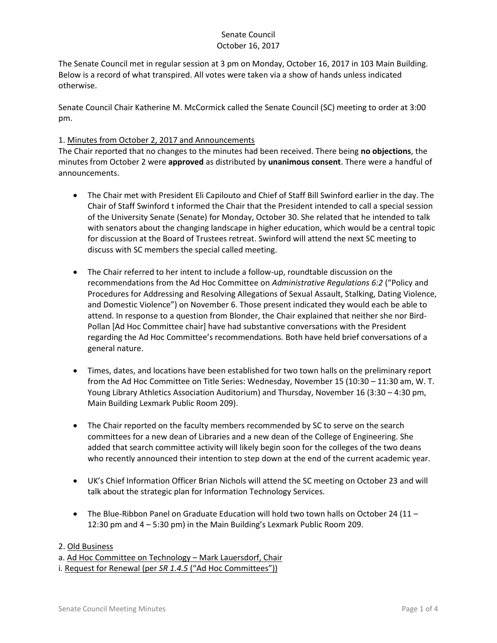The Senate Council met in regular session at 3 pm on Monday, October 16, 2017 in 103 Main Building. Below is a record of what transpired. All votes were taken via a show of hands unless indicated otherwise.

Senate Council Chair Katherine M. McCormick called the Senate Council (SC) meeting to order at 3:00 pm.

### 1. Minutes from October 2, 2017 and Announcements

The Chair reported that no changes to the minutes had been received. There being **no objections**, the minutes from October 2 were **approved** as distributed by **unanimous consent**. There were a handful of announcements.

- The Chair met with President Eli Capilouto and Chief of Staff Bill Swinford earlier in the day. The Chair of Staff Swinford t informed the Chair that the President intended to call a special session of the University Senate (Senate) for Monday, October 30. She related that he intended to talk with senators about the changing landscape in higher education, which would be a central topic for discussion at the Board of Trustees retreat. Swinford will attend the next SC meeting to discuss with SC members the special called meeting.
- The Chair referred to her intent to include a follow-up, roundtable discussion on the recommendations from the Ad Hoc Committee on *Administrative Regulations 6:2* ("Policy and Procedures for Addressing and Resolving Allegations of Sexual Assault, Stalking, Dating Violence, and Domestic Violence") on November 6. Those present indicated they would each be able to attend. In response to a question from Blonder, the Chair explained that neither she nor Bird-Pollan [Ad Hoc Committee chair] have had substantive conversations with the President regarding the Ad Hoc Committee's recommendations. Both have held brief conversations of a general nature.
- Times, dates, and locations have been established for two town halls on the preliminary report from the Ad Hoc Committee on Title Series: Wednesday, November 15 (10:30 – 11:30 am, W. T. Young Library Athletics Association Auditorium) and Thursday, November 16 (3:30 – 4:30 pm, Main Building Lexmark Public Room 209).
- The Chair reported on the faculty members recommended by SC to serve on the search committees for a new dean of Libraries and a new dean of the College of Engineering. She added that search committee activity will likely begin soon for the colleges of the two deans who recently announced their intention to step down at the end of the current academic year.
- UK's Chief Information Officer Brian Nichols will attend the SC meeting on October 23 and will talk about the strategic plan for Information Technology Services.
- The Blue-Ribbon Panel on Graduate Education will hold two town halls on October 24 (11 12:30 pm and 4 – 5:30 pm) in the Main Building's Lexmark Public Room 209.

### 2. Old Business

a. Ad Hoc Committee on Technology - Mark Lauersdorf, Chair

i. Request for Renewal (per *SR 1.4.5* ("Ad Hoc Committees"))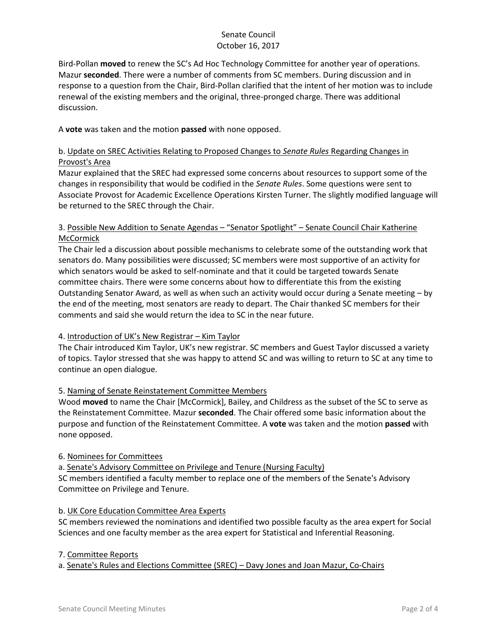Bird-Pollan **moved** to renew the SC's Ad Hoc Technology Committee for another year of operations. Mazur **seconded**. There were a number of comments from SC members. During discussion and in response to a question from the Chair, Bird-Pollan clarified that the intent of her motion was to include renewal of the existing members and the original, three-pronged charge. There was additional discussion.

A **vote** was taken and the motion **passed** with none opposed.

## b. Update on SREC Activities Relating to Proposed Changes to *Senate Rules* Regarding Changes in Provost's Area

Mazur explained that the SREC had expressed some concerns about resources to support some of the changes in responsibility that would be codified in the *Senate Rules*. Some questions were sent to Associate Provost for Academic Excellence Operations Kirsten Turner. The slightly modified language will be returned to the SREC through the Chair.

## 3. Possible New Addition to Senate Agendas – "Senator Spotlight" – Senate Council Chair Katherine **McCormick**

The Chair led a discussion about possible mechanisms to celebrate some of the outstanding work that senators do. Many possibilities were discussed; SC members were most supportive of an activity for which senators would be asked to self-nominate and that it could be targeted towards Senate committee chairs. There were some concerns about how to differentiate this from the existing Outstanding Senator Award, as well as when such an activity would occur during a Senate meeting – by the end of the meeting, most senators are ready to depart. The Chair thanked SC members for their comments and said she would return the idea to SC in the near future.

# 4. Introduction of UK's New Registrar – Kim Taylor

The Chair introduced Kim Taylor, UK's new registrar. SC members and Guest Taylor discussed a variety of topics. Taylor stressed that she was happy to attend SC and was willing to return to SC at any time to continue an open dialogue.

# 5. Naming of Senate Reinstatement Committee Members

Wood **moved** to name the Chair [McCormick], Bailey, and Childress as the subset of the SC to serve as the Reinstatement Committee. Mazur **seconded**. The Chair offered some basic information about the purpose and function of the Reinstatement Committee. A **vote** was taken and the motion **passed** with none opposed.

### 6. Nominees for Committees

a. Senate's Advisory Committee on Privilege and Tenure (Nursing Faculty) SC members identified a faculty member to replace one of the members of the Senate's Advisory Committee on Privilege and Tenure.

### b. UK Core Education Committee Area Experts

SC members reviewed the nominations and identified two possible faculty as the area expert for Social Sciences and one faculty member as the area expert for Statistical and Inferential Reasoning.

### 7. Committee Reports

a. Senate's Rules and Elections Committee (SREC) – Davy Jones and Joan Mazur, Co-Chairs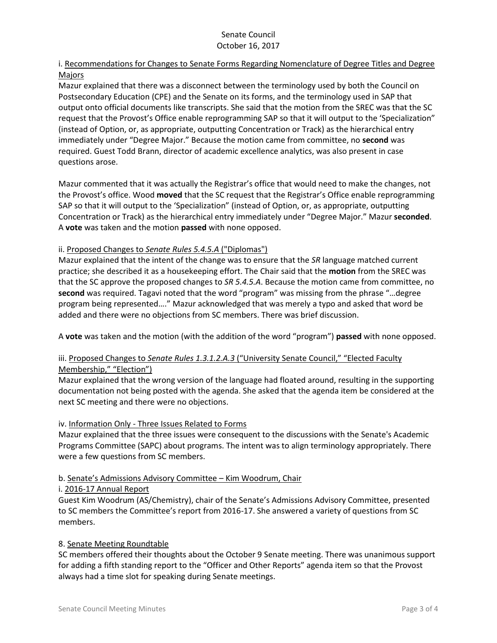# i. Recommendations for Changes to Senate Forms Regarding Nomenclature of Degree Titles and Degree Majors

Mazur explained that there was a disconnect between the terminology used by both the Council on Postsecondary Education (CPE) and the Senate on its forms, and the terminology used in SAP that output onto official documents like transcripts. She said that the motion from the SREC was that the SC request that the Provost's Office enable reprogramming SAP so that it will output to the 'Specialization" (instead of Option, or, as appropriate, outputting Concentration or Track) as the hierarchical entry immediately under "Degree Major." Because the motion came from committee, no **second** was required. Guest Todd Brann, director of academic excellence analytics, was also present in case questions arose.

Mazur commented that it was actually the Registrar's office that would need to make the changes, not the Provost's office. Wood **moved** that the SC request that the Registrar's Office enable reprogramming SAP so that it will output to the 'Specialization" (instead of Option, or, as appropriate, outputting Concentration or Track) as the hierarchical entry immediately under "Degree Major." Mazur **seconded**. A **vote** was taken and the motion **passed** with none opposed.

### ii. Proposed Changes to *Senate Rules 5.4.5.A* ("Diplomas")

Mazur explained that the intent of the change was to ensure that the *SR* language matched current practice; she described it as a housekeeping effort. The Chair said that the **motion** from the SREC was that the SC approve the proposed changes to *SR 5.4.5.A*. Because the motion came from committee, no **second** was required. Tagavi noted that the word "program" was missing from the phrase "…degree program being represented…." Mazur acknowledged that was merely a typo and asked that word be added and there were no objections from SC members. There was brief discussion.

A **vote** was taken and the motion (with the addition of the word "program") **passed** with none opposed.

# iii. Proposed Changes to *Senate Rules 1.3.1.2.A.3* ("University Senate Council," "Elected Faculty Membership," "Election")

Mazur explained that the wrong version of the language had floated around, resulting in the supporting documentation not being posted with the agenda. She asked that the agenda item be considered at the next SC meeting and there were no objections.

# iv. Information Only - Three Issues Related to Forms

Mazur explained that the three issues were consequent to the discussions with the Senate's Academic Programs Committee (SAPC) about programs. The intent was to align terminology appropriately. There were a few questions from SC members.

# b. Senate's Admissions Advisory Committee – Kim Woodrum, Chair

### i. 2016-17 Annual Report

Guest Kim Woodrum (AS/Chemistry), chair of the Senate's Admissions Advisory Committee, presented to SC members the Committee's report from 2016-17. She answered a variety of questions from SC members.

# 8. Senate Meeting Roundtable

SC members offered their thoughts about the October 9 Senate meeting. There was unanimous support for adding a fifth standing report to the "Officer and Other Reports" agenda item so that the Provost always had a time slot for speaking during Senate meetings.